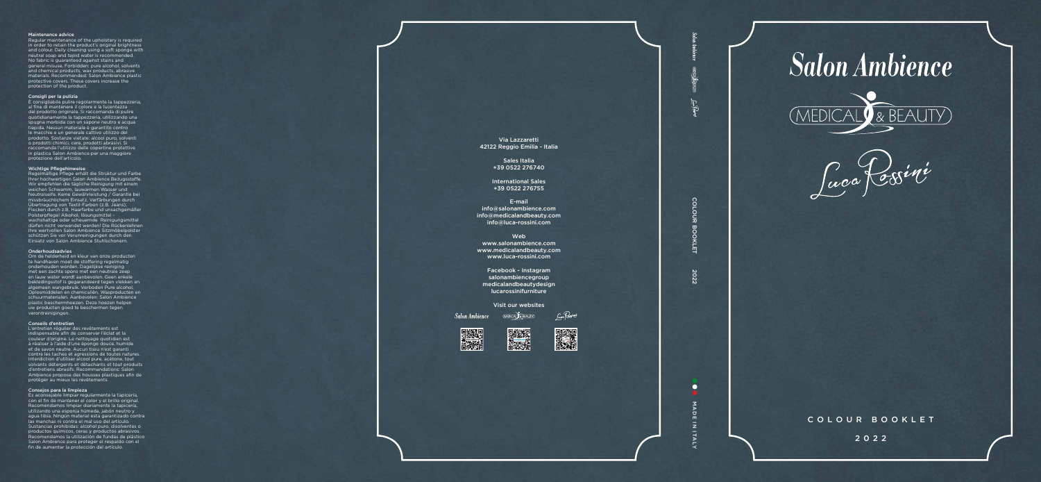## Maintenance advice

Regular maintenance of the upholstery is required in order to retain the product's original brightness and colour. Daily cleaning using a soft sponge with neutral soap and tepid water is recommended. No fabric is guaranteed against stains and general misuse. Forbidden: pure alcohol, solvents and chemical products, wax products, abrasive materials. Recommended: Salon Ambience plastic protective covers. These covers increase the protection of the product.

#### Consigli per la pulizia

È consigliabile pulire regolarmente la tappezzeria, al fine di mantenere il colore e la lucentezza del prodotto originale. Si raccomanda di pulire quotidianamente la tappezzeria, utilizzando una spugna morbida con un sapone neutro e acqua tiepida. Nessun materiale è garantito contro le macchie e un generale cattivo utilizzo del prodotto. Sostanze vietate: alcool puro, solventi o prodotti chimici, cere, prodotti abrasivi. Si raccomanda l'utilizzo delle copertine protettive in plastica Salon Ambience per una maggiore protezione dell'articolo.

# Wichtige Pflegehinweise

Regelmäßige Pflege erhält die Struktur und Farbe Ihrer hochwertigen Salon Ambience Bezugsstoffe. Wir empfehlen die tägliche Reinigung mit einem weichen Schwamm, lauwarmen Wasser und Neutralseife. Keine Gewährleistung / Garantie bei missbräuchlichem Einsatz, Verfärbungen durch Übertragung von Textil-Farben (z.B. Jeans), Flecken durch z.B. Haarfarbe und unsachgemäßer Polsterpflege! Alkohol, lösungsmittel wachshaltige oder scheuernde Reinigungsmittel dürfen nicht verwendet werden! Die Rückenlehnen Ihre wertvollen Salon Ambience Sitzmöbelpolster schützen Sie vor Verunreinigungen durch den Einsatz von Salon Ambience Stuhlschonern.

#### Onderhoudsadvies

Om de helderheid en kleur van onze producten te handhaven moet de stoffering regelmatig onderhouden worden. Dagelijkse reiniging met een zachte spons met een neutrale zeep en lauw water wordt aanbevolen. Geen enkele bekledingsstof is gegarandeerd tegen vlekken en algemeen wangebruik. Verboden Pure alcohol, Oplosmiddelen en chemicaliën. Wasproducten en schuurmaterialen. Aanbevolen: Salon Ambience plastic beschermhoezen. Deze hoezen helpen uw producten goed te beschermen tegen verontreinigingen.

### Conseils d'entretien

L'entretien régulier des revêtements est indispensable afin de conserver l'éclat et la couleur d'origine. Le nettoyage quotidien est à réaliser à l'aide d'une éponge douce, humide et de savon neutre. Aucun tissu n'est garanti contre les taches et agressions de toutes natures. Interdiction d'utiliser alcool pure, acétone, tout solvants détergents et détachants et tout produits d'entretiens abrasifs. Recommandations: Salon Ambience propose des housses plastiques afin de protéger au mieux les revêtements.

## Consejos para la limpieza

Es aconsejable limpiar regularmente la tapicería, con el fin de mantener el color y el brillo original. Recomendamos limpiar diariamente la tapicería, utilizando una esponja húmeda, jabón neutro y agua tibia. Ningún material esta garantizado contra las manchas ni contra el mal uso del artículo. Sustancias prohibidas: alcohol puro, disolventes o productos químicos, ceras y productos abrasivos. Recomendamos la utilización de fundas de plástico Salon Ambience para proteger el respaldo con el fin de aumentar la protección del artículo.

Via Lazzaretti 42122 Reggio Emilia - Italia

> Sales Italia +39 0522 276740

International Sales +39 0522 276755

*Suga* Rosini



fair Béa

<u>co</u> COLOUR BOOKLET 2022 **OUR BC DKI** 

 $\overline{z}$ 

**O** MADE MADE IN ITALY $\bar{z}$ **ITALY** 

**Salon Ambience** 



Luca Cesini

E-mail info@salonambience.com info@medicalandbeauty.com info@luca-rossini.com

Web www.salonambience.com www.medicalandbeauty.com www.luca-rossini.com

Facebook - Instagram salonambiencegroup medicalandbeautydesign lucarossinifurniture

Visit our websites

Salon Ambience MEDICAL BEAUTED







COLOUR BOOKLET

2022